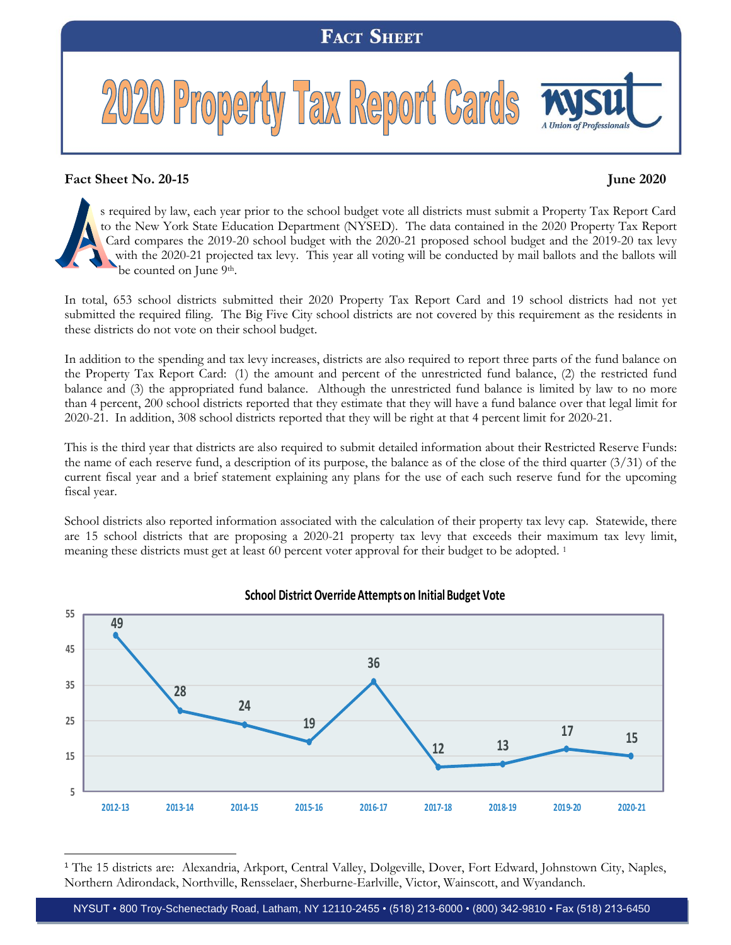

#### **Fact Sheet No. 20-15 June 2020**

s required by law, each year prior to the school budget vote all districts must submit a Property Tax Report Card to the New York State Education Department (NYSED). The data contained in the 2020 Property Tax Report Card compares the 2019-20 school budget with the 2020-21 proposed school budget and the 2019-20 tax levy with the 2020-21 projected tax levy. This year all voting will be conducted by mail ballots and the ballots will be counted on June 9<sup>th</sup>.

In total, 653 school districts submitted their 2020 Property Tax Report Card and 19 school districts had not yet submitted the required filing. The Big Five City school districts are not covered by this requirement as the residents in these districts do not vote on their school budget.

In addition to the spending and tax levy increases, districts are also required to report three parts of the fund balance on the Property Tax Report Card: (1) the amount and percent of the unrestricted fund balance, (2) the restricted fund balance and (3) the appropriated fund balance. Although the unrestricted fund balance is limited by law to no more than 4 percent, 200 school districts reported that they estimate that they will have a fund balance over that legal limit for 2020-21. In addition, 308 school districts reported that they will be right at that 4 percent limit for 2020-21.

This is the third year that districts are also required to submit detailed information about their Restricted Reserve Funds: the name of each reserve fund, a description of its purpose, the balance as of the close of the third quarter (3/31) of the current fiscal year and a brief statement explaining any plans for the use of each such reserve fund for the upcoming fiscal year.

School districts also reported information associated with the calculation of their property tax levy cap. Statewide, there are 15 school districts that are proposing a 2020-21 property tax levy that exceeds their maximum tax levy limit, meaning these districts must get at least 60 percent voter approval for their budget to be adopted. <sup>1</sup>



### **School District Override Attempts on Initial Budget Vote**

<sup>1</sup> The 15 districts are: Alexandria, Arkport, Central Valley, Dolgeville, Dover, Fort Edward, Johnstown City, Naples, Northern Adirondack, Northville, Rensselaer, Sherburne-Earlville, Victor, Wainscott, and Wyandanch.